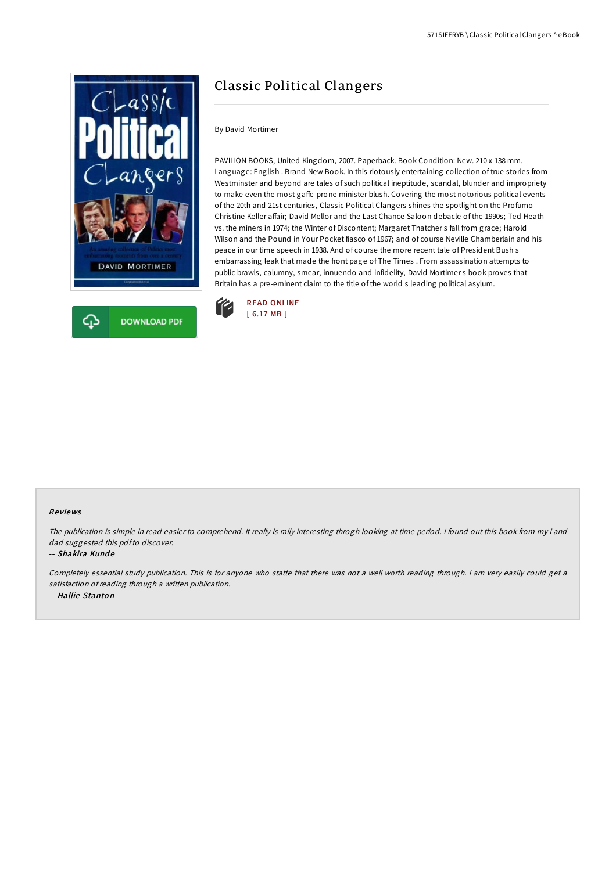



# Classic Political Clangers

### By David Mortimer

PAVILION BOOKS, United Kingdom, 2007. Paperback. Book Condition: New. 210 x 138 mm. Language: English . Brand New Book. In this riotously entertaining collection of true stories from Westminster and beyond are tales of such political ineptitude, scandal, blunder and impropriety to make even the most gaffe-prone minister blush. Covering the most notorious political events of the 20th and 21st centuries, Classic Political Clangers shines the spotlight on the Profumo-Christine Keller affair; David Mellor and the Last Chance Saloon debacle of the 1990s; Ted Heath vs. the miners in 1974; the Winter of Discontent; Margaret Thatcher s fall from grace; Harold Wilson and the Pound in Your Pocket fiasco of 1967; and of course Neville Chamberlain and his peace in our time speech in 1938. And of course the more recent tale of President Bush s embarrassing leak that made the front page of The Times . From assassination attempts to public brawls, calumny, smear, innuendo and infidelity, David Mortimer s book proves that Britain has a pre-eminent claim to the title of the world s leading political asylum.



## Re views

The publication is simple in read easier to comprehend. It really is rally interesting throgh looking at time period. <sup>I</sup> found out this book from my i and dad suggested this pdfto discover.

### -- Shakira Kunde

Completely essential study publication. This is for anyone who statte that there was not <sup>a</sup> well worth reading through. <sup>I</sup> am very easily could get <sup>a</sup> satisfaction ofreading through <sup>a</sup> written publication. -- Hallie Stanto <sup>n</sup>